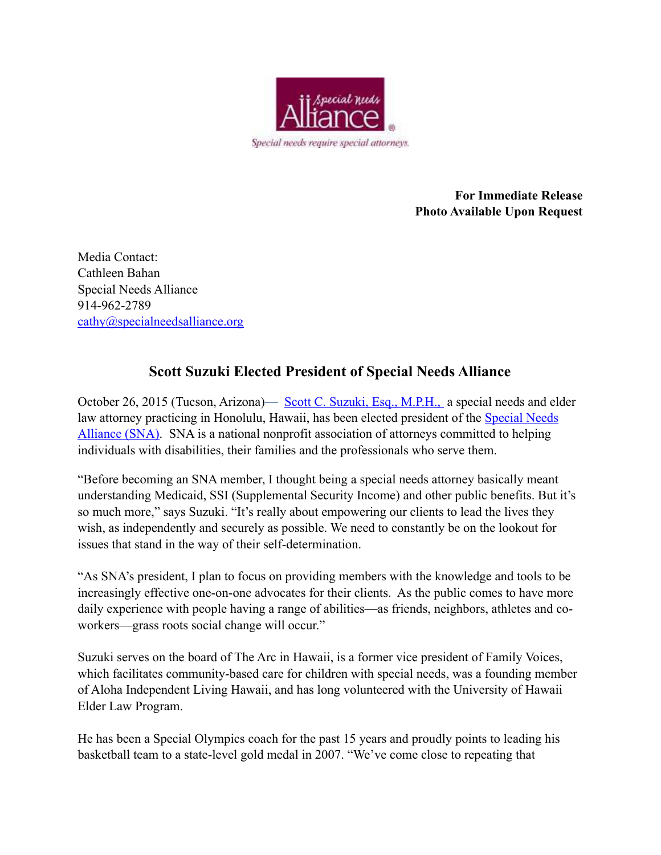

**For Immediate Release Photo Available Upon Request** 

Media Contact: Cathleen Bahan Special Needs Alliance 914-962-2789 [cathy@specialneedsalliance.org](mailto:cathy@specialneedsalliance.org)

## **Scott Suzuki Elected President of Special Needs Alliance**

October 26, 2015 (Tucson, Arizona)— [Scott C. Suzuki, Esq., M.P.H.,](http://www.suzukiaal.com/Home_Page.html) a special needs and elder [law attorney practicing in Honolulu, Hawaii, has been elected president of the Special Needs](http://www.specialneedsalliance.org/)  Alliance (SNA). SNA is a national nonprofit association of attorneys committed to helping individuals with disabilities, their families and the professionals who serve them.

"Before becoming an SNA member, I thought being a special needs attorney basically meant understanding Medicaid, SSI (Supplemental Security Income) and other public benefits. But it's so much more," says Suzuki. "It's really about empowering our clients to lead the lives they wish, as independently and securely as possible. We need to constantly be on the lookout for issues that stand in the way of their self-determination.

"As SNA's president, I plan to focus on providing members with the knowledge and tools to be increasingly effective one-on-one advocates for their clients. As the public comes to have more daily experience with people having a range of abilities—as friends, neighbors, athletes and coworkers—grass roots social change will occur."

Suzuki serves on the board of The Arc in Hawaii, is a former vice president of Family Voices, which facilitates community-based care for children with special needs, was a founding member of Aloha Independent Living Hawaii, and has long volunteered with the University of Hawaii Elder Law Program.

He has been a Special Olympics coach for the past 15 years and proudly points to leading his basketball team to a state-level gold medal in 2007. "We've come close to repeating that